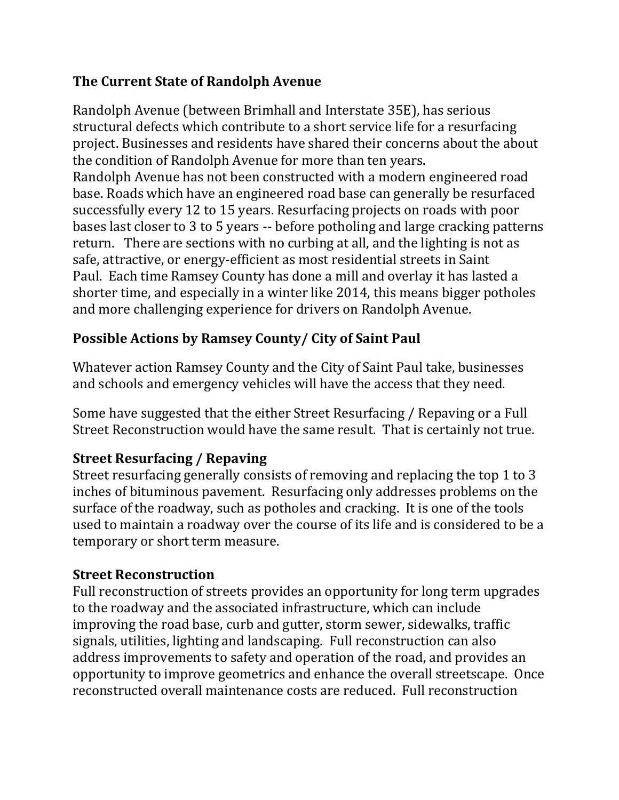### **The Current State of Randolph Avenue**

Randolph Avenue (between Brimhall and Interstate 35E), has serious structural defects which contribute to a short service life for a resurfacing project. Businesses and residents have shared their concerns about the about the condition of Randolph Avenue for more than ten years. Randolph Avenue has not been constructed with a modern engineered road base. Roads which have an engineered road base can generally be resurfaced successfully every 12 to 15 years. Resurfacing projects on roads with poor bases last closer to 3 to 5 years -- before potholing and large cracking patterns return. There are sections with no curbing at all, and the lighting is not as safe, attractive, or energy-efficient as most residential streets in Saint Paul. Each time Ramsey County has done a mill and overlay it has lasted a shorter time, and especially in a winter like 2014, this means bigger potholes and more challenging experience for drivers on Randolph Avenue.

# **Possible Actions by Ramsey County/ City of Saint Paul**

Whatever action Ramsey County and the City of Saint Paul take, businesses and schools and emergency vehicles will have the access that they need.

Some have suggested that the either Street Resurfacing / Repaving or a Full Street Reconstruction would have the same result. That is certainly not true.

# **Street Resurfacing / Repaving**

Street resurfacing generally consists of removing and replacing the top 1 to 3 inches of bituminous pavement. Resurfacing only addresses problems on the surface of the roadway, such as potholes and cracking. It is one of the tools used to maintain a roadway over the course of its life and is considered to be a temporary or short term measure.

#### **Street Reconstruction**

Full reconstruction of streets provides an opportunity for long term upgrades to the roadway and the associated infrastructure, which can include improving the road base, curb and gutter, storm sewer, sidewalks, traffic signals, utilities, lighting and landscaping. Full reconstruction can also address improvements to safety and operation of the road, and provides an opportunity to improve geometrics and enhance the overall streetscape. Once reconstructed overall maintenance costs are reduced. Full reconstruction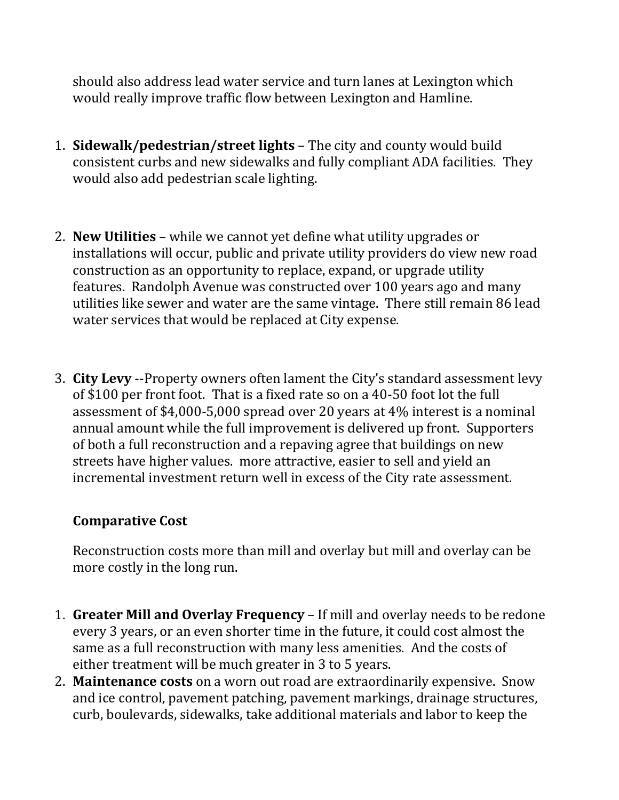should also address lead water service and turn lanes at Lexington which would really improve traffic flow between Lexington and Hamline.

- 1. **Sidewalk/pedestrian/street lights** The city and county would build consistent curbs and new sidewalks and fully compliant ADA facilities. They would also add pedestrian scale lighting.
- 2. **New Utilities** while we cannot yet define what utility upgrades or installations will occur, public and private utility providers do view new road construction as an opportunity to replace, expand, or upgrade utility features. Randolph Avenue was constructed over 100 years ago and many utilities like sewer and water are the same vintage. There still remain 86 lead water services that would be replaced at City expense.
- 3. **City Levy** --Property owners often lament the City's standard assessment levy of \$100 per front foot. That is a fixed rate so on a 40-50 foot lot the full assessment of \$4,000-5,000 spread over 20 years at 4% interest is a nominal annual amount while the full improvement is delivered up front. Supporters of both a full reconstruction and a repaving agree that buildings on new streets have higher values. more attractive, easier to sell and yield an incremental investment return well in excess of the City rate assessment.

#### **Comparative Cost**

Reconstruction costs more than mill and overlay but mill and overlay can be more costly in the long run.

- 1. **Greater Mill and Overlay Frequency** If mill and overlay needs to be redone every 3 years, or an even shorter time in the future, it could cost almost the same as a full reconstruction with many less amenities. And the costs of either treatment will be much greater in 3 to 5 years.
- 2. **Maintenance costs** on a worn out road are extraordinarily expensive. Snow and ice control, pavement patching, pavement markings, drainage structures, curb, boulevards, sidewalks, take additional materials and labor to keep the